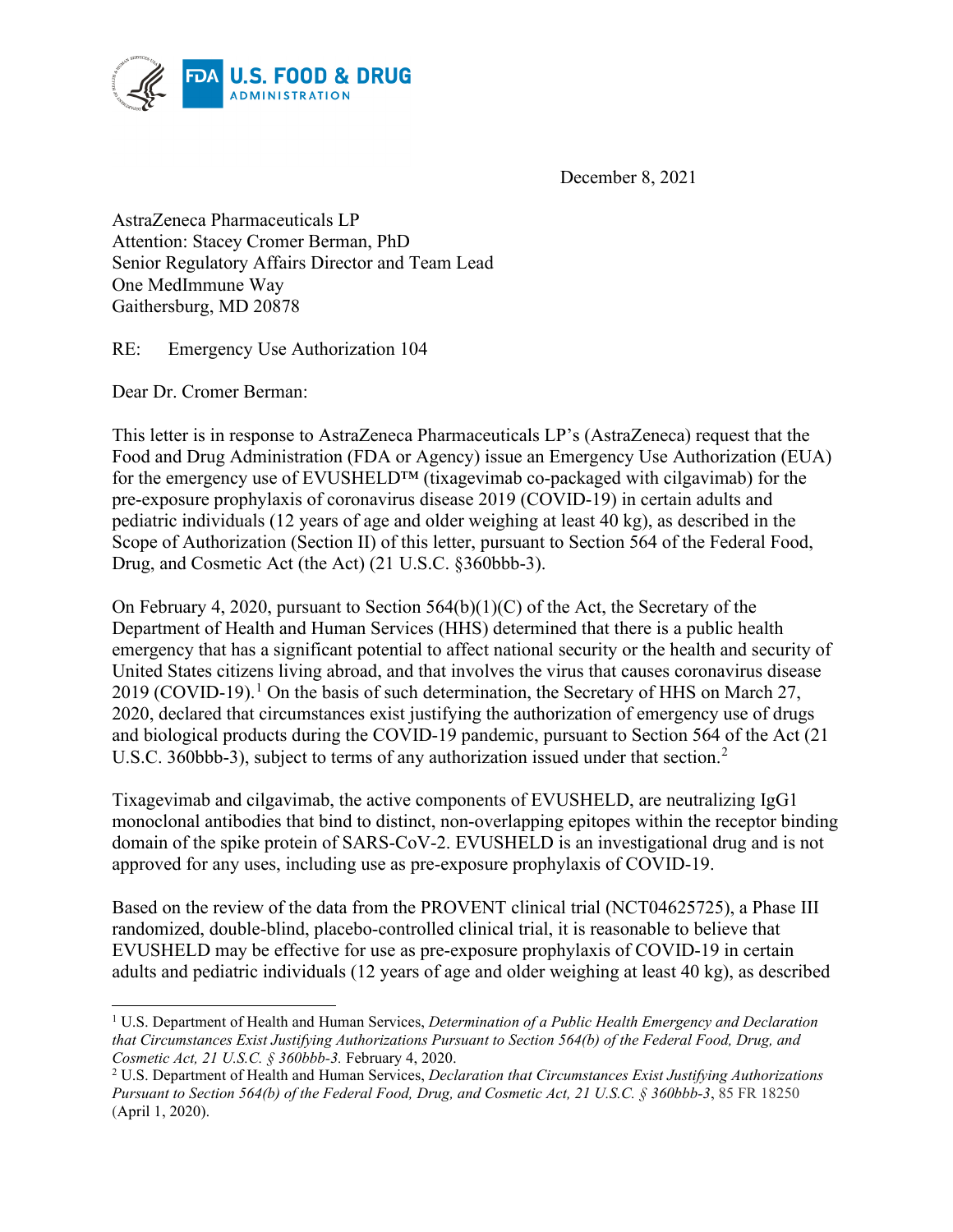

December 8, 2021

AstraZeneca Pharmaceuticals LP Attention: Stacey Cromer Berman, PhD Senior Regulatory Affairs Director and Team Lead One MedImmune Way Gaithersburg, MD 20878

RE: Emergency Use Authorization 104

Dear Dr. Cromer Berman:

This letter is in response to AstraZeneca Pharmaceuticals LP's (AstraZeneca) request that the Food and Drug Administration (FDA or Agency) issue an Emergency Use Authorization (EUA) for the emergency use of EVUSHELD™ (tixagevimab co-packaged with cilgavimab) for the pre-exposure prophylaxis of coronavirus disease 2019 (COVID-19) in certain adults and pediatric individuals (12 years of age and older weighing at least 40 kg), as described in the Scope of Authorization (Section II) of this letter, pursuant to Section 564 of the Federal Food, Drug, and Cosmetic Act (the Act) (21 U.S.C. §360bbb-3).

On February 4, 2020, pursuant to Section 564(b)(1)(C) of the Act, the Secretary of the Department of Health and Human Services (HHS) determined that there is a public health emergency that has a significant potential to affect national security or the health and security of United States citizens living abroad, and that involves the virus that causes coronavirus disease 20[1](#page-0-0)9 (COVID-19).<sup>1</sup> On the basis of such determination, the Secretary of HHS on March 27, 2020, declared that circumstances exist justifying the authorization of emergency use of drugs and biological products during the COVID-19 pandemic, pursuant to Section 564 of the Act (21 U.S.C. 360bbb-3), subject to terms of any authorization issued under that section.<sup>[2](#page-0-1)</sup>

Tixagevimab and cilgavimab, the active components of EVUSHELD, are neutralizing IgG1 monoclonal antibodies that bind to distinct, non-overlapping epitopes within the receptor binding domain of the spike protein of SARS-CoV-2. EVUSHELD is an investigational drug and is not approved for any uses, including use as pre-exposure prophylaxis of COVID-19.

Based on the review of the data from the PROVENT clinical trial (NCT04625725), a Phase III randomized, double-blind, placebo-controlled clinical trial, it is reasonable to believe that EVUSHELD may be effective for use as pre-exposure prophylaxis of COVID-19 in certain adults and pediatric individuals (12 years of age and older weighing at least 40 kg), as described

<span id="page-0-0"></span><sup>1</sup> U.S. Department of Health and Human Services, *Determination of a Public Health Emergency and Declaration that Circumstances Exist Justifying Authorizations Pursuant to Section 564(b) of the Federal Food, Drug, and Cosmetic Act, 21 U.S.C. § 360bbb-3.* February 4, 2020.

<span id="page-0-1"></span><sup>2</sup> U.S. Department of Health and Human Services, *Declaration that Circumstances Exist Justifying Authorizations Pursuant to Section 564(b) of the Federal Food, Drug, and Cosmetic Act, 21 U.S.C. § 360bbb-3*, 85 FR 18250 (April 1, 2020).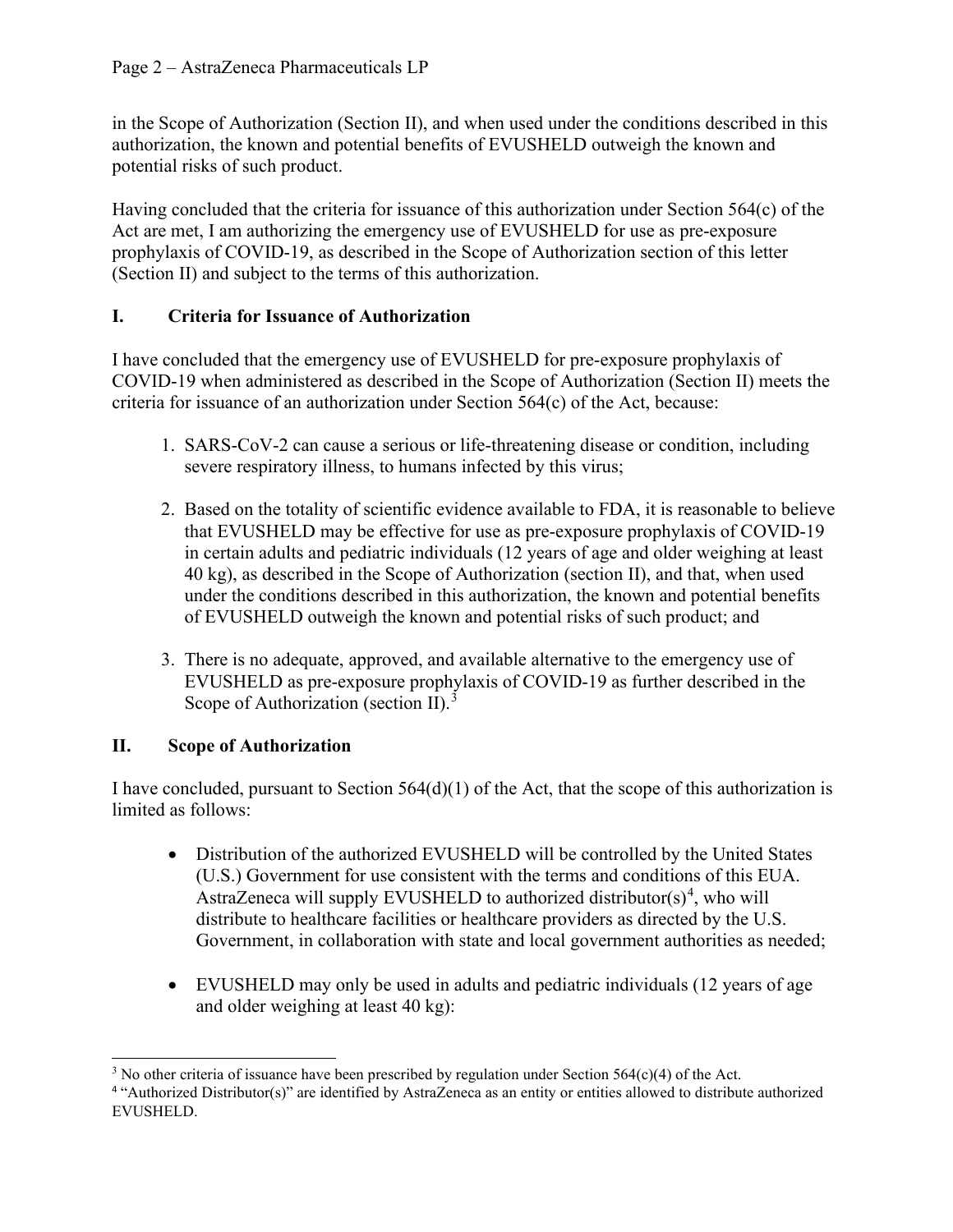in the Scope of Authorization (Section II), and when used under the conditions described in this authorization, the known and potential benefits of EVUSHELD outweigh the known and potential risks of such product.

Having concluded that the criteria for issuance of this authorization under Section 564(c) of the Act are met, I am authorizing the emergency use of EVUSHELD for use as pre-exposure prophylaxis of COVID-19, as described in the Scope of Authorization section of this letter (Section II) and subject to the terms of this authorization.

# **I. Criteria for Issuance of Authorization**

I have concluded that the emergency use of EVUSHELD for pre-exposure prophylaxis of COVID-19 when administered as described in the Scope of Authorization (Section II) meets the criteria for issuance of an authorization under Section 564(c) of the Act, because:

- 1. SARS-CoV-2 can cause a serious or life-threatening disease or condition, including severe respiratory illness, to humans infected by this virus;
- 2. Based on the totality of scientific evidence available to FDA, it is reasonable to believe that EVUSHELD may be effective for use as pre-exposure prophylaxis of COVID-19 in certain adults and pediatric individuals (12 years of age and older weighing at least 40 kg), as described in the Scope of Authorization (section II), and that, when used under the conditions described in this authorization, the known and potential benefits of EVUSHELD outweigh the known and potential risks of such product; and
- 3. There is no adequate, approved, and available alternative to the emergency use of EVUSHELD as pre-exposure prophylaxis of COVID-19 as further described in the Scope of Authorization (section II). $3$

# **II. Scope of Authorization**

I have concluded, pursuant to Section  $564(d)(1)$  of the Act, that the scope of this authorization is limited as follows:

- Distribution of the authorized EVUSHELD will be controlled by the United States (U.S.) Government for use consistent with the terms and conditions of this EUA. AstraZeneca will supply EVUSHELD to authorized distributor( $s$ )<sup>[4](#page-1-1)</sup>, who will distribute to healthcare facilities or healthcare providers as directed by the U.S. Government, in collaboration with state and local government authorities as needed;
- EVUSHELD may only be used in adults and pediatric individuals (12 years of age and older weighing at least 40 kg):

<span id="page-1-0"></span><sup>&</sup>lt;sup>3</sup> No other criteria of issuance have been prescribed by regulation under Section 564(c)(4) of the Act.

<span id="page-1-1"></span><sup>4</sup> "Authorized Distributor(s)" are identified by AstraZeneca as an entity or entities allowed to distribute authorized EVUSHELD.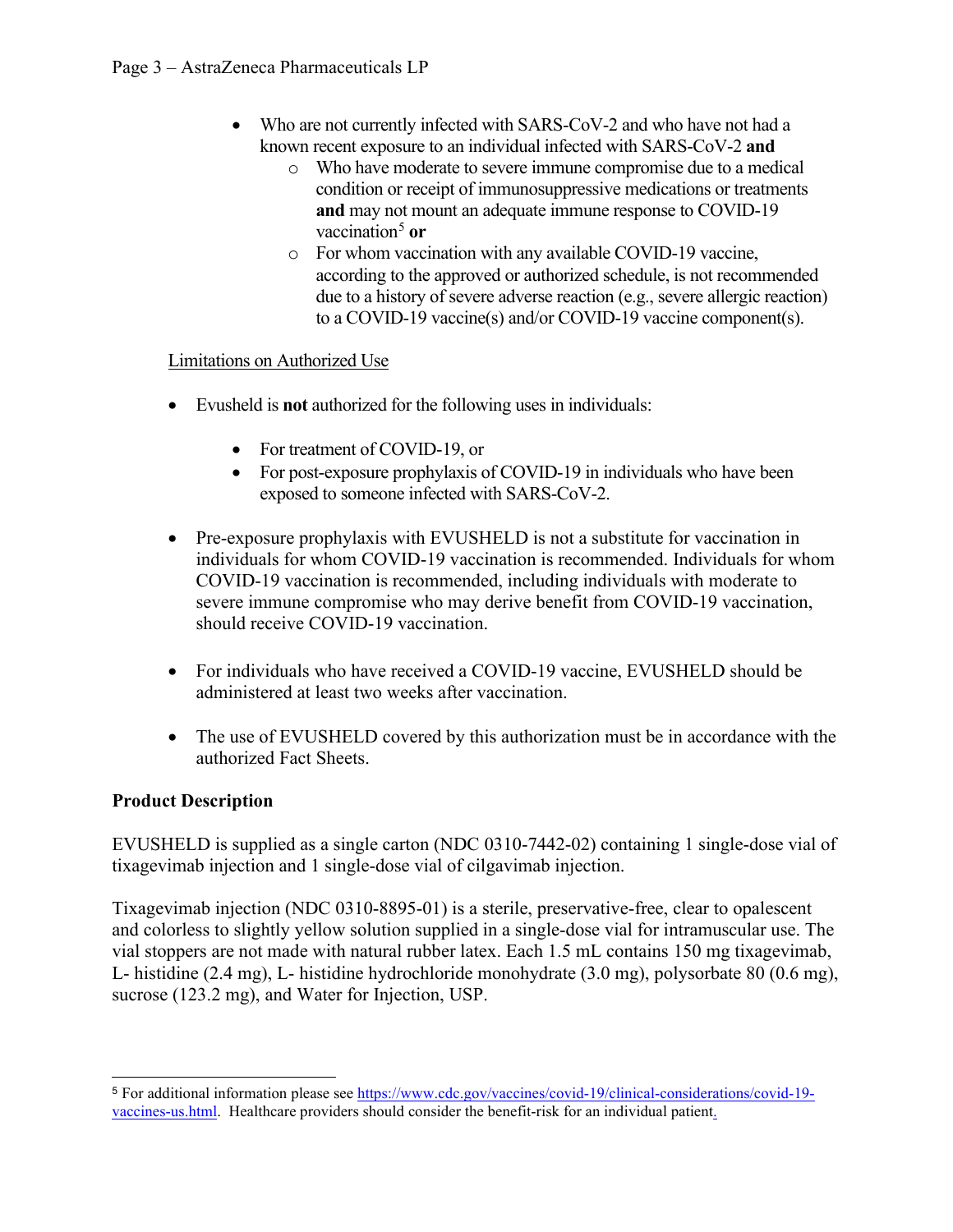- Who are not currently infected with SARS-CoV-2 and who have not had a known recent exposure to an individual infected with SARS-CoV-2 **and**
	- o Who have moderate to severe immune compromise due to a medical condition or receipt of immunosuppressive medications or treatments **and** may not mount an adequate immune response to COVID-19 vaccination<sup>[5](#page-2-0)</sup> or
	- o For whom vaccination with any available COVID-19 vaccine, according to the approved or authorized schedule, is not recommended due to a history of severe adverse reaction (e.g., severe allergic reaction) to a COVID-19 vaccine(s) and/or COVID-19 vaccine component(s).

### Limitations on Authorized Use

- Evusheld is **not** authorized for the following uses in individuals:
	- For treatment of COVID-19, or
	- For post-exposure prophylaxis of COVID-19 in individuals who have been exposed to someone infected with SARS-CoV-2.
- Pre-exposure prophylaxis with EVUSHELD is not a substitute for vaccination in individuals for whom COVID-19 vaccination is recommended. Individuals for whom COVID-19 vaccination is recommended, including individuals with moderate to severe immune compromise who may derive benefit from COVID-19 vaccination, should receive COVID-19 vaccination.
- For individuals who have received a COVID-19 vaccine, EVUSHELD should be administered at least two weeks after vaccination.
- The use of EVUSHELD covered by this authorization must be in accordance with the authorized Fact Sheets.

## **Product Description**

EVUSHELD is supplied as a single carton (NDC 0310-7442-02) containing 1 single-dose vial of tixagevimab injection and 1 single-dose vial of cilgavimab injection.

Tixagevimab injection (NDC 0310-8895-01) is a sterile, preservative-free, clear to opalescent and colorless to slightly yellow solution supplied in a single-dose vial for intramuscular use. The vial stoppers are not made with natural rubber latex. Each 1.5 mL contains 150 mg tixagevimab, L- histidine (2.4 mg), L- histidine hydrochloride monohydrate (3.0 mg), polysorbate 80 (0.6 mg), sucrose (123.2 mg), and Water for Injection, USP.

<span id="page-2-0"></span><sup>5</sup> For additional information please see [https://www.cdc.gov/vaccines/covid-19/clinical-considerations/covid-19](https://www.cdc.gov/vaccines/covid-19/clinical-considerations/covid-19-vaccines-us.html) [vaccines-us.html.](https://www.cdc.gov/vaccines/covid-19/clinical-considerations/covid-19-vaccines-us.html) Healthcare providers should consider the benefit-risk for an individual patient.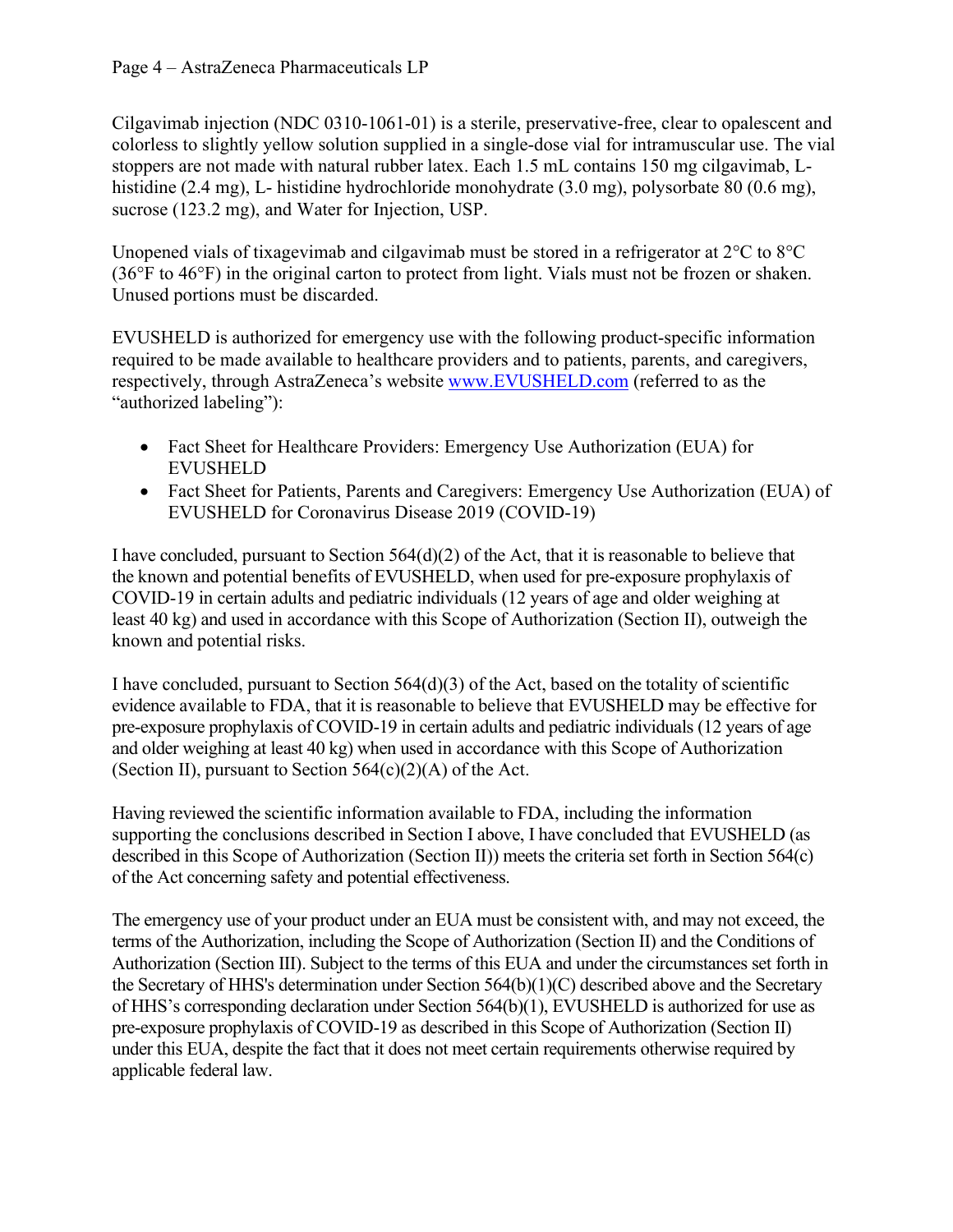Cilgavimab injection (NDC 0310-1061-01) is a sterile, preservative-free, clear to opalescent and colorless to slightly yellow solution supplied in a single-dose vial for intramuscular use. The vial stoppers are not made with natural rubber latex. Each 1.5 mL contains 150 mg cilgavimab, Lhistidine (2.4 mg), L- histidine hydrochloride monohydrate (3.0 mg), polysorbate 80 (0.6 mg), sucrose (123.2 mg), and Water for Injection, USP.

Unopened vials of tixagevimab and cilgavimab must be stored in a refrigerator at 2°C to 8°C (36°F to 46°F) in the original carton to protect from light. Vials must not be frozen or shaken. Unused portions must be discarded.

EVUSHELD is authorized for emergency use with the following product-specific information required to be made available to healthcare providers and to patients, parents, and caregivers, respectively, through AstraZeneca's website [www.EVUSHELD.com](http://www.evusheld.com/) (referred to as the "authorized labeling"):

- Fact Sheet for Healthcare Providers: Emergency Use Authorization (EUA) for EVUSHELD
- Fact Sheet for Patients, Parents and Caregivers: Emergency Use Authorization (EUA) of EVUSHELD for Coronavirus Disease 2019 (COVID-19)

I have concluded, pursuant to Section 564(d)(2) of the Act, that it is reasonable to believe that the known and potential benefits of EVUSHELD, when used for pre-exposure prophylaxis of COVID-19 in certain adults and pediatric individuals (12 years of age and older weighing at least 40 kg) and used in accordance with this Scope of Authorization (Section II), outweigh the known and potential risks.

I have concluded, pursuant to Section  $564(d)(3)$  of the Act, based on the totality of scientific evidence available to FDA, that it is reasonable to believe that EVUSHELD may be effective for pre-exposure prophylaxis of COVID-19 in certain adults and pediatric individuals (12 years of age and older weighing at least 40 kg) when used in accordance with this Scope of Authorization (Section II), pursuant to Section  $564(c)(2)(A)$  of the Act.

Having reviewed the scientific information available to FDA, including the information supporting the conclusions described in Section I above, I have concluded that EVUSHELD (as described in this Scope of Authorization (Section II)) meets the criteria set forth in Section 564(c) of the Act concerning safety and potential effectiveness.

The emergency use of your product under an EUA must be consistent with, and may not exceed, the terms of the Authorization, including the Scope of Authorization (Section II) and the Conditions of Authorization (Section III). Subject to the terms of this EUA and under the circumstances set forth in the Secretary of HHS's determination under Section 564(b)(1)(C) described above and the Secretary of HHS's corresponding declaration under Section 564(b)(1), EVUSHELD is authorized for use as pre-exposure prophylaxis of COVID-19 as described in this Scope of Authorization (Section II) under this EUA, despite the fact that it does not meet certain requirements otherwise required by applicable federal law.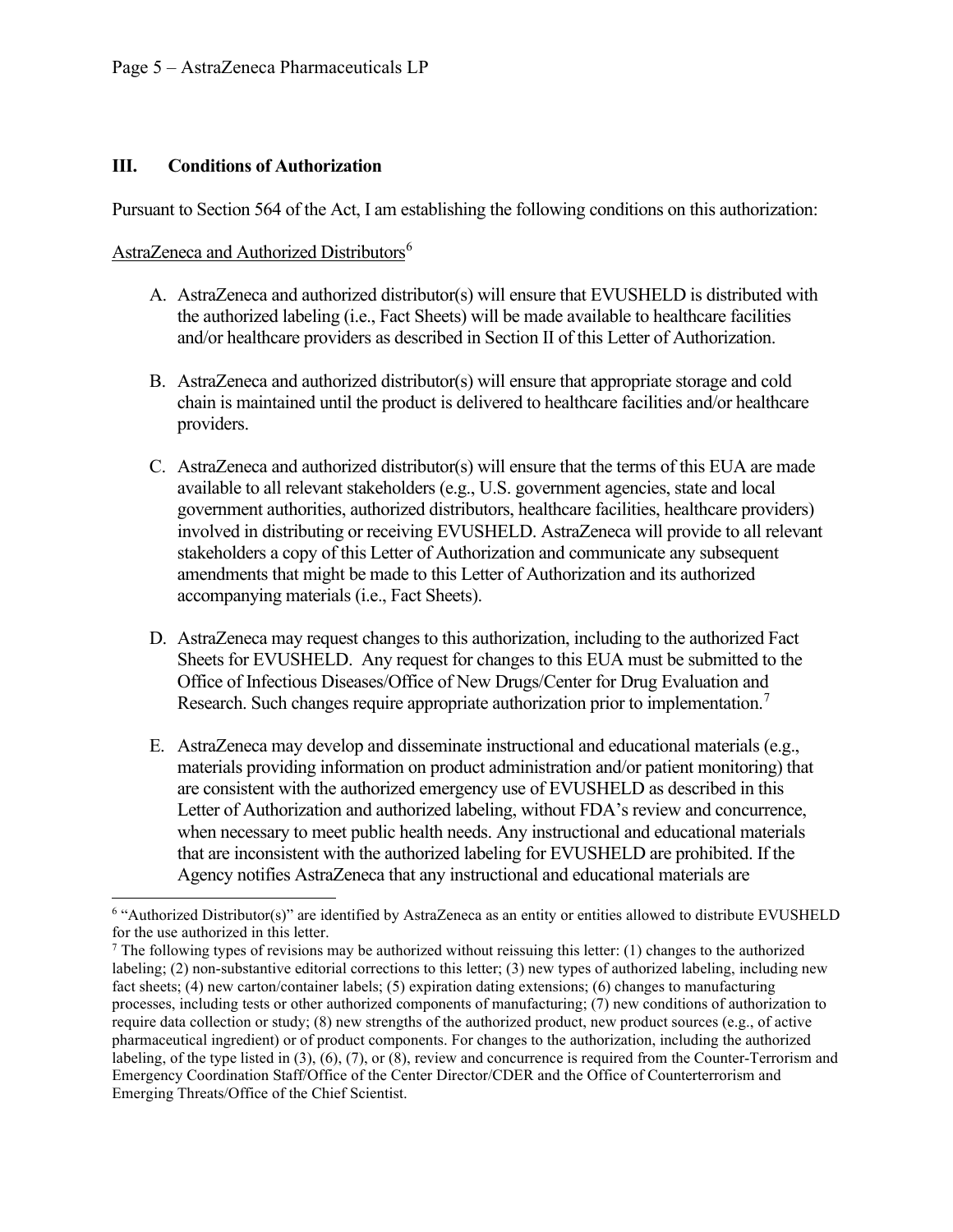#### **III. Conditions of Authorization**

Pursuant to Section 564 of the Act, I am establishing the following conditions on this authorization:

#### AstraZeneca and Authorized Distributors<sup>[6](#page-4-0)</sup>

- A. AstraZeneca and authorized distributor(s) will ensure that EVUSHELD is distributed with the authorized labeling (i.e., Fact Sheets) will be made available to healthcare facilities and/or healthcare providers as described in Section II of this Letter of Authorization.
- B. AstraZeneca and authorized distributor(s) will ensure that appropriate storage and cold chain is maintained until the product is delivered to healthcare facilities and/or healthcare providers.
- C. AstraZeneca and authorized distributor(s) will ensure that the terms of this EUA are made available to all relevant stakeholders (e.g., U.S. government agencies, state and local government authorities, authorized distributors, healthcare facilities, healthcare providers) involved in distributing or receiving EVUSHELD. AstraZeneca will provide to all relevant stakeholders a copy of this Letter of Authorization and communicate any subsequent amendments that might be made to this Letter of Authorization and its authorized accompanying materials (i.e., Fact Sheets).
- D. AstraZeneca may request changes to this authorization, including to the authorized Fact Sheets for EVUSHELD. Any request for changes to this EUA must be submitted to the Office of Infectious Diseases/Office of New Drugs/Center for Drug Evaluation and Research. Such changes require appropriate authorization prior to implementation.<sup>[7](#page-4-1)</sup>
- E. AstraZeneca may develop and disseminate instructional and educational materials (e.g., materials providing information on product administration and/or patient monitoring) that are consistent with the authorized emergency use of EVUSHELD as described in this Letter of Authorization and authorized labeling, without FDA's review and concurrence, when necessary to meet public health needs. Any instructional and educational materials that are inconsistent with the authorized labeling for EVUSHELD are prohibited. If the Agency notifies AstraZeneca that any instructional and educational materials are

<span id="page-4-0"></span><sup>6</sup> "Authorized Distributor(s)" are identified by AstraZeneca as an entity or entities allowed to distribute EVUSHELD for the use authorized in this letter.

<span id="page-4-1"></span> $7$  The following types of revisions may be authorized without reissuing this letter: (1) changes to the authorized labeling; (2) non-substantive editorial corrections to this letter; (3) new types of authorized labeling, including new fact sheets; (4) new carton/container labels; (5) expiration dating extensions; (6) changes to manufacturing processes, including tests or other authorized components of manufacturing; (7) new conditions of authorization to require data collection or study; (8) new strengths of the authorized product, new product sources (e.g., of active pharmaceutical ingredient) or of product components. For changes to the authorization, including the authorized labeling, of the type listed in (3), (6), (7), or (8), review and concurrence is required from the Counter-Terrorism and Emergency Coordination Staff/Office of the Center Director/CDER and the Office of Counterterrorism and Emerging Threats/Office of the Chief Scientist.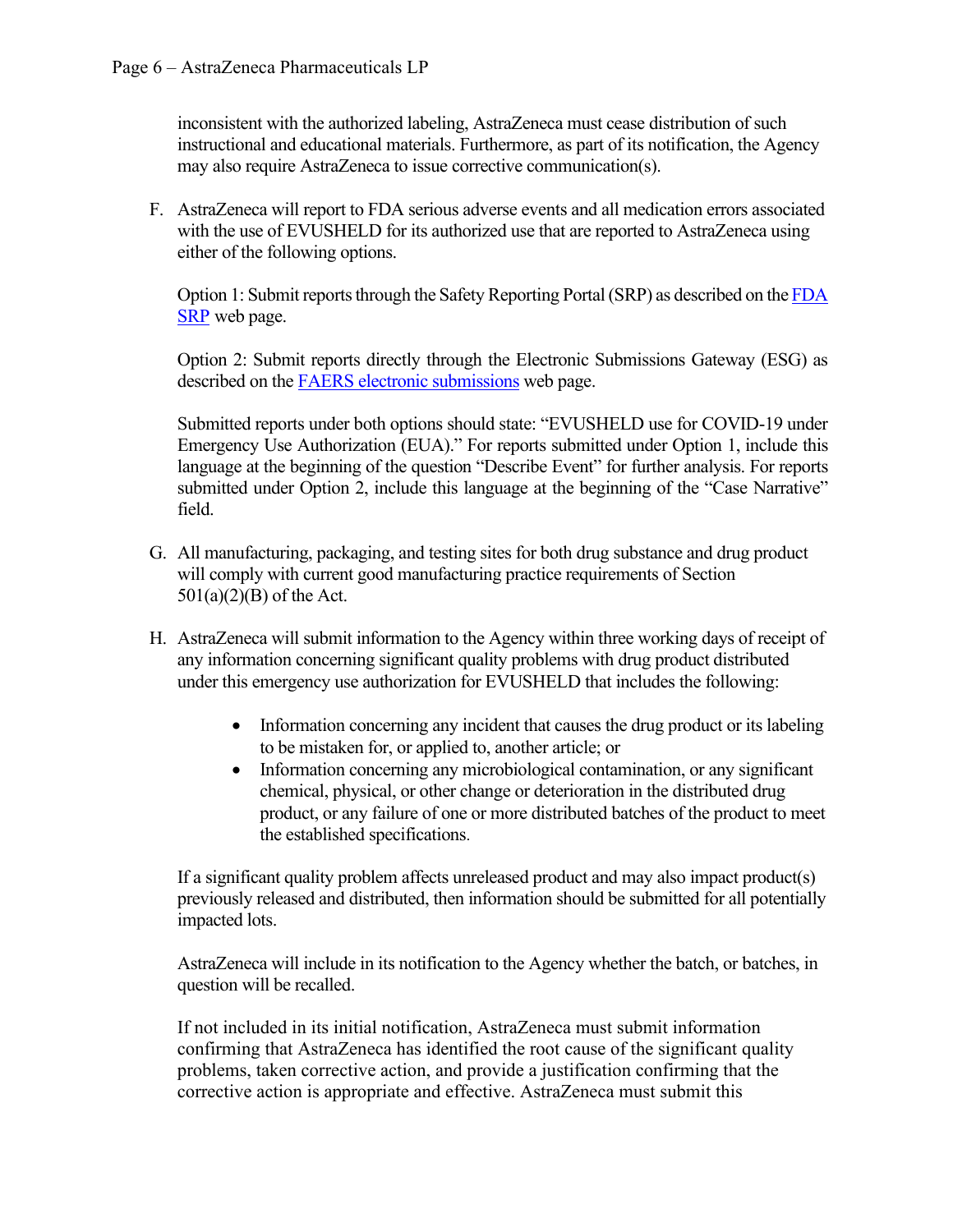inconsistent with the authorized labeling, AstraZeneca must cease distribution of such instructional and educational materials. Furthermore, as part of its notification, the Agency may also require AstraZeneca to issue corrective communication(s).

F. AstraZeneca will report to FDA serious adverse events and all medication errors associated with the use of EVUSHELD for its authorized use that are reported to AstraZeneca using either of the following options.

Option 1: Submit reports through the Safety Reporting Portal (SRP) as described on the [FDA](https://www.safetyreporting.hhs.gov/SRP2/en/Home.aspx?sid=c51864fa-2307-41b7-8f15-aee06e28c0b9)  [SRP](https://www.safetyreporting.hhs.gov/SRP2/en/Home.aspx?sid=c51864fa-2307-41b7-8f15-aee06e28c0b9) web page.

Option 2: Submit reports directly through the Electronic Submissions Gateway (ESG) as described on the [FAERS electronic submissions](https://www.fda.gov/drugs/questions-and-answers-fdas-adverse-event-reporting-system-faers/fda-adverse-event-reporting-system-faers-electronic-submissions) web page.

Submitted reports under both options should state: "EVUSHELD use for COVID-19 under Emergency Use Authorization (EUA)." For reports submitted under Option 1, include this language at the beginning of the question "Describe Event" for further analysis. For reports submitted under Option 2, include this language at the beginning of the "Case Narrative" field.

- G. All manufacturing, packaging, and testing sites for both drug substance and drug product will comply with current good manufacturing practice requirements of Section  $501(a)(2)(B)$  of the Act.
- H. AstraZeneca will submit information to the Agency within three working days of receipt of any information concerning significant quality problems with drug product distributed under this emergency use authorization for EVUSHELD that includes the following:
	- Information concerning any incident that causes the drug product or its labeling to be mistaken for, or applied to, another article; or
	- Information concerning any microbiological contamination, or any significant chemical, physical, or other change or deterioration in the distributed drug product, or any failure of one or more distributed batches of the product to meet the established specifications.

If a significant quality problem affects unreleased product and may also impact product(s) previously released and distributed, then information should be submitted for all potentially impacted lots.

AstraZeneca will include in its notification to the Agency whether the batch, or batches, in question will be recalled.

If not included in its initial notification, AstraZeneca must submit information confirming that AstraZeneca has identified the root cause of the significant quality problems, taken corrective action, and provide a justification confirming that the corrective action is appropriate and effective. AstraZeneca must submit this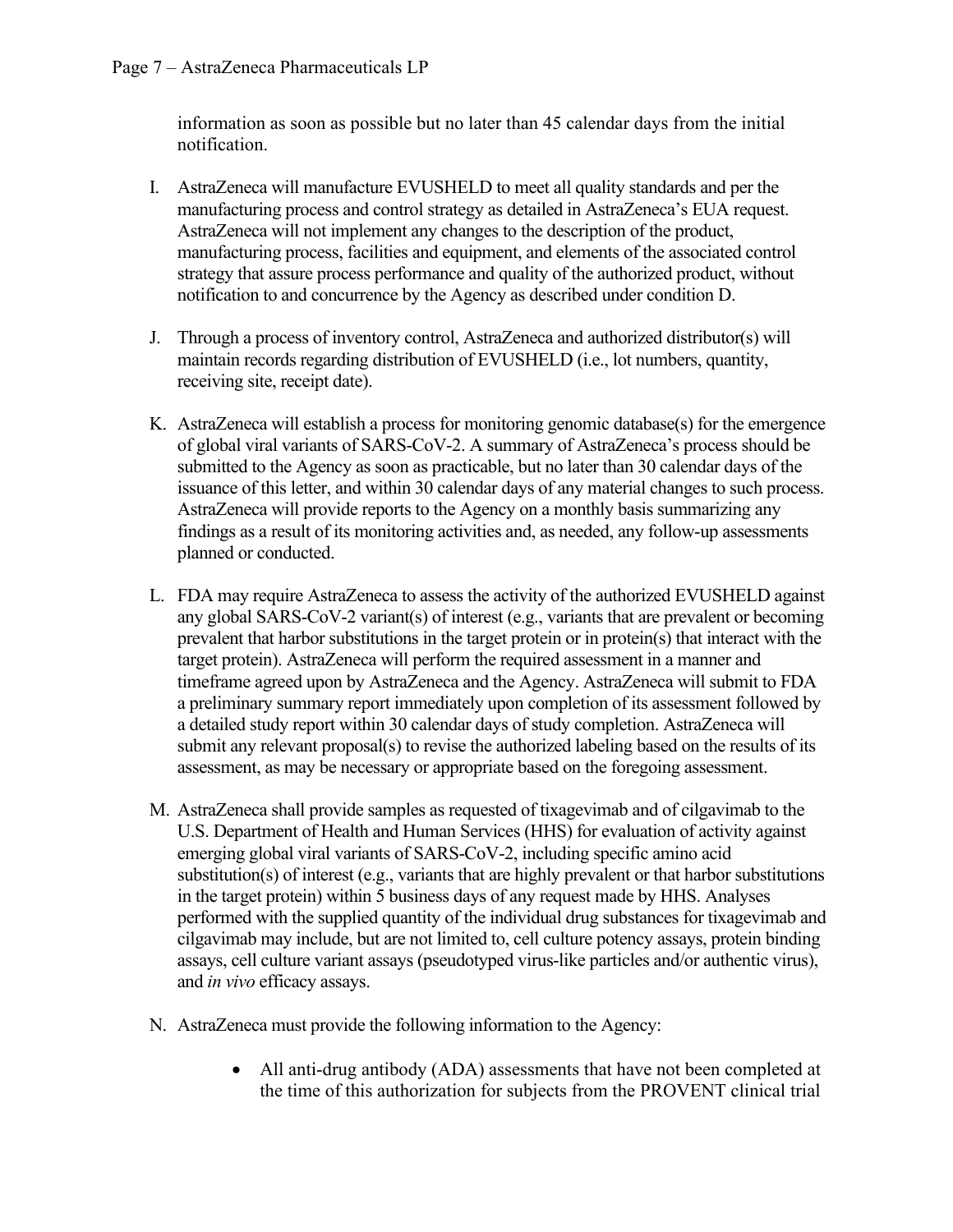information as soon as possible but no later than 45 calendar days from the initial notification.

- I. AstraZeneca will manufacture EVUSHELD to meet all quality standards and per the manufacturing process and control strategy as detailed in AstraZeneca's EUA request. AstraZeneca will not implement any changes to the description of the product, manufacturing process, facilities and equipment, and elements of the associated control strategy that assure process performance and quality of the authorized product, without notification to and concurrence by the Agency as described under condition D.
- J. Through a process of inventory control, AstraZeneca and authorized distributor(s) will maintain records regarding distribution of EVUSHELD (i.e., lot numbers, quantity, receiving site, receipt date).
- K. AstraZeneca will establish a process for monitoring genomic database(s) for the emergence of global viral variants of SARS-CoV-2. A summary of AstraZeneca's process should be submitted to the Agency as soon as practicable, but no later than 30 calendar days of the issuance of this letter, and within 30 calendar days of any material changes to such process. AstraZeneca will provide reports to the Agency on a monthly basis summarizing any findings as a result of its monitoring activities and, as needed, any follow-up assessments planned or conducted.
- L. FDA may require AstraZeneca to assess the activity of the authorized EVUSHELD against any global SARS-CoV-2 variant(s) of interest (e.g., variants that are prevalent or becoming prevalent that harbor substitutions in the target protein or in protein(s) that interact with the target protein). AstraZeneca will perform the required assessment in a manner and timeframe agreed upon by AstraZeneca and the Agency. AstraZeneca will submit to FDA a preliminary summary report immediately upon completion of its assessment followed by a detailed study report within 30 calendar days of study completion. AstraZeneca will submit any relevant proposal(s) to revise the authorized labeling based on the results of its assessment, as may be necessary or appropriate based on the foregoing assessment.
- M. AstraZeneca shall provide samples as requested of tixagevimab and of cilgavimab to the U.S. Department of Health and Human Services (HHS) for evaluation of activity against emerging global viral variants of SARS-CoV-2, including specific amino acid substitution(s) of interest (e.g., variants that are highly prevalent or that harbor substitutions in the target protein) within 5 business days of any request made by HHS. Analyses performed with the supplied quantity of the individual drug substances for tixagevimab and cilgavimab may include, but are not limited to, cell culture potency assays, protein binding assays, cell culture variant assays (pseudotyped virus-like particles and/or authentic virus), and *in vivo* efficacy assays.
- N. AstraZeneca must provide the following information to the Agency:
	- All anti-drug antibody (ADA) assessments that have not been completed at the time of this authorization for subjects from the PROVENT clinical trial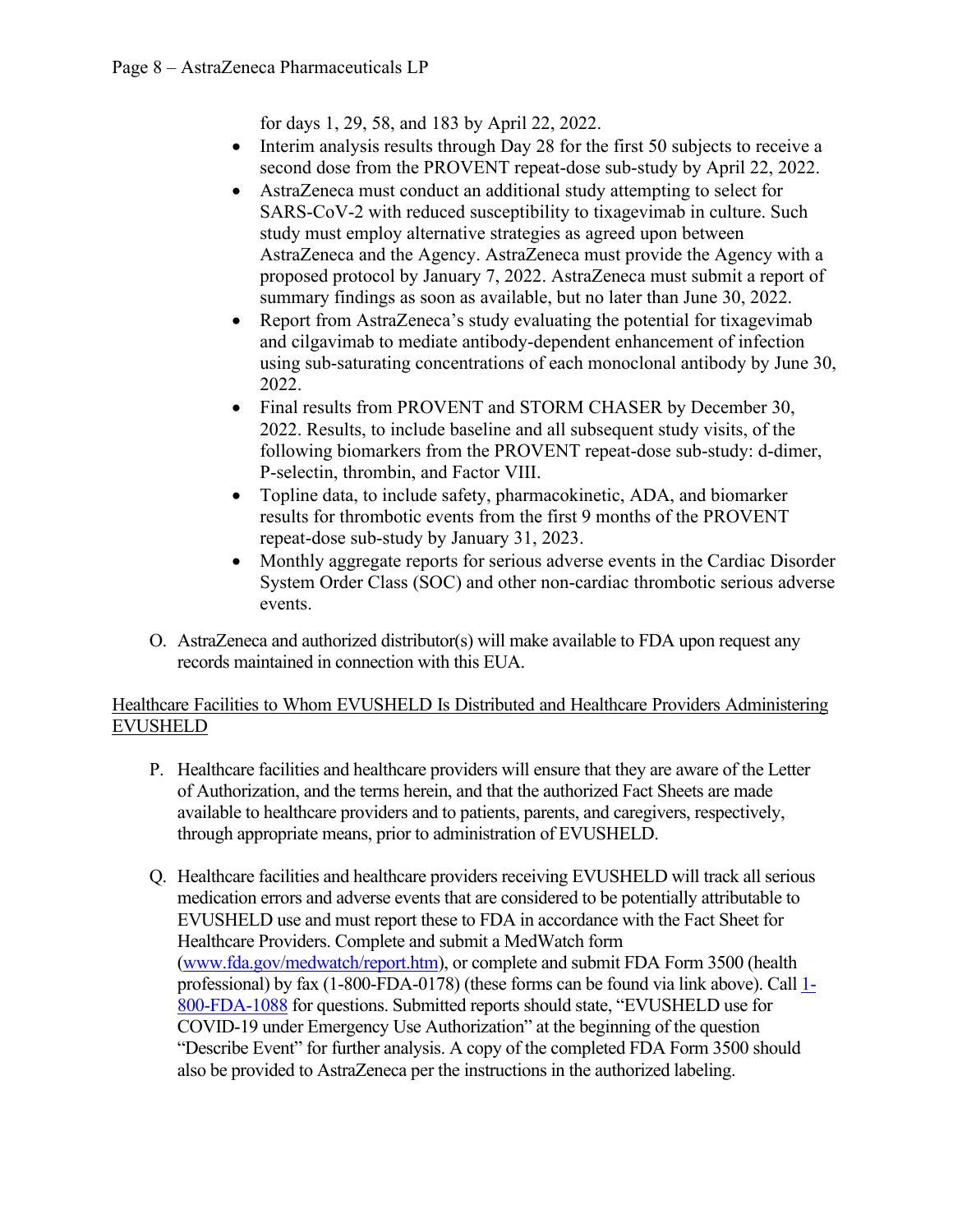for days 1, 29, 58, and 183 by April 22, 2022.

- Interim analysis results through Day 28 for the first 50 subjects to receive a second dose from the PROVENT repeat-dose sub-study by April 22, 2022.
- AstraZeneca must conduct an additional study attempting to select for SARS-CoV-2 with reduced susceptibility to tixagevimab in culture. Such study must employ alternative strategies as agreed upon between AstraZeneca and the Agency. AstraZeneca must provide the Agency with a proposed protocol by January 7, 2022. AstraZeneca must submit a report of summary findings as soon as available, but no later than June 30, 2022.
- Report from AstraZeneca's study evaluating the potential for tixagevimab and cilgavimab to mediate antibody-dependent enhancement of infection using sub-saturating concentrations of each monoclonal antibody by June 30, 2022.
- Final results from PROVENT and STORM CHASER by December 30, 2022. Results, to include baseline and all subsequent study visits, of the following biomarkers from the PROVENT repeat-dose sub-study: d-dimer, P-selectin, thrombin, and Factor VIII.
- Topline data, to include safety, pharmacokinetic, ADA, and biomarker results for thrombotic events from the first 9 months of the PROVENT repeat-dose sub-study by January 31, 2023.
- Monthly aggregate reports for serious adverse events in the Cardiac Disorder System Order Class (SOC) and other non-cardiac thrombotic serious adverse events.
- O. AstraZeneca and authorized distributor(s) will make available to FDA upon request any records maintained in connection with this EUA.

### Healthcare Facilities to Whom EVUSHELD Is Distributed and Healthcare Providers Administering EVUSHELD

- P. Healthcare facilities and healthcare providers will ensure that they are aware of the Letter of Authorization, and the terms herein, and that the authorized Fact Sheets are made available to healthcare providers and to patients, parents, and caregivers, respectively, through appropriate means, prior to administration of EVUSHELD.
- Q. Healthcare facilities and healthcare providers receiving EVUSHELD will track all serious medication errors and adverse events that are considered to be potentially attributable to EVUSHELD use and must report these to FDA in accordance with the Fact Sheet for Healthcare Providers. Complete and submit a MedWatch form [\(www.fda.gov/medwatch/report.htm\)](http://www.fda.gov/medwatch/report.htm), or complete and submit FDA Form 3500 (health professional) by fax (1-800-FDA-0178) (these forms can be found via link above). Call [1-](http://www.fda.gov/medwatch%20or%20call%201-800-FDA-1088) [800-FDA-1088](http://www.fda.gov/medwatch%20or%20call%201-800-FDA-1088) for questions. Submitted reports should state, "EVUSHELD use for COVID-19 under Emergency Use Authorization" at the beginning of the question "Describe Event" for further analysis. A copy of the completed FDA Form 3500 should also be provided to AstraZeneca per the instructions in the authorized labeling.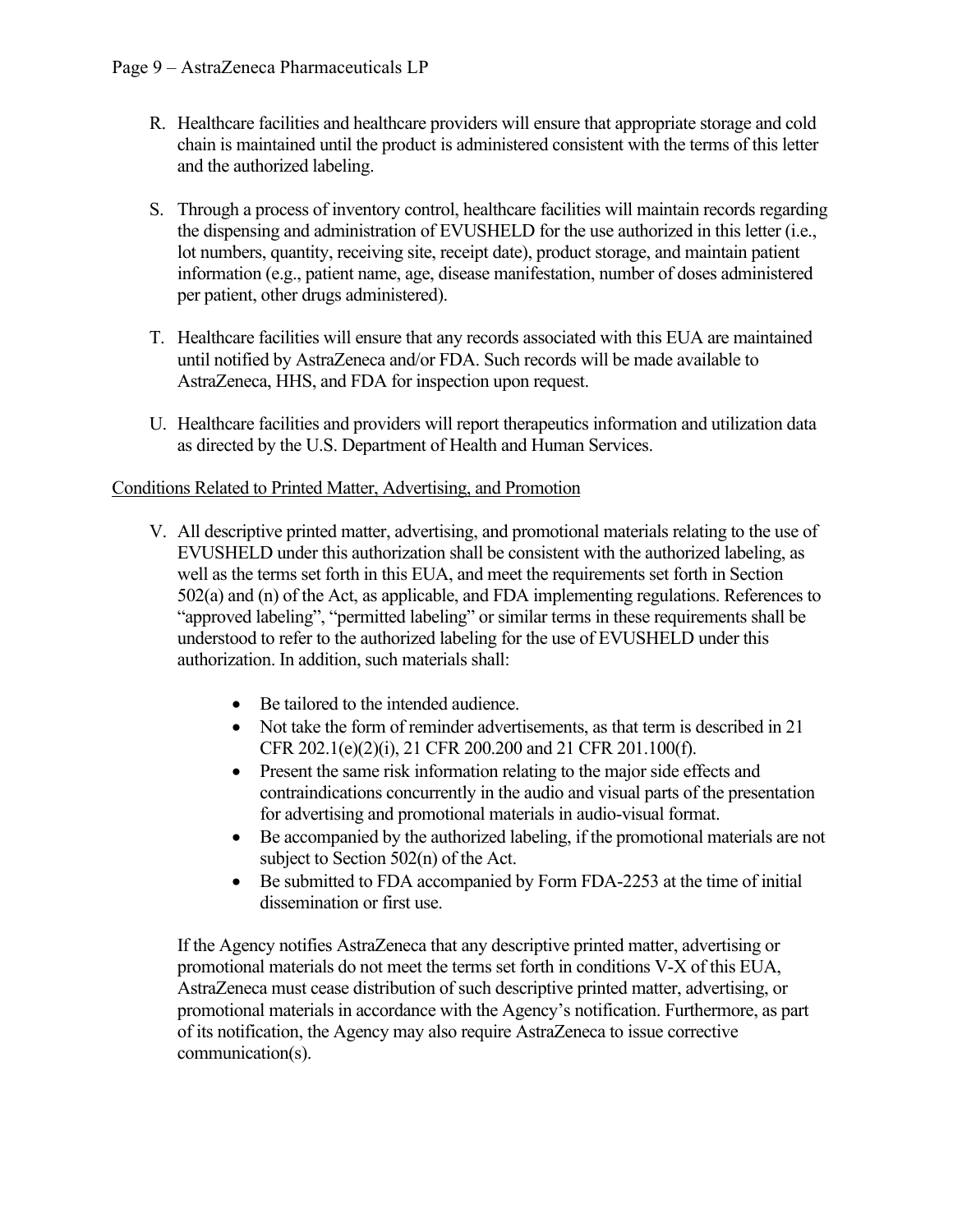- R. Healthcare facilities and healthcare providers will ensure that appropriate storage and cold chain is maintained until the product is administered consistent with the terms of this letter and the authorized labeling.
- S. Through a process of inventory control, healthcare facilities will maintain records regarding the dispensing and administration of EVUSHELD for the use authorized in this letter (i.e., lot numbers, quantity, receiving site, receipt date), product storage, and maintain patient information (e.g., patient name, age, disease manifestation, number of doses administered per patient, other drugs administered).
- T. Healthcare facilities will ensure that any records associated with this EUA are maintained until notified by AstraZeneca and/or FDA. Such records will be made available to AstraZeneca, HHS, and FDA for inspection upon request.
- U. Healthcare facilities and providers will report therapeutics information and utilization data as directed by the U.S. Department of Health and Human Services.

#### Conditions Related to Printed Matter, Advertising, and Promotion

- V. All descriptive printed matter, advertising, and promotional materials relating to the use of EVUSHELD under this authorization shall be consistent with the authorized labeling, as well as the terms set forth in this EUA, and meet the requirements set forth in Section 502(a) and (n) of the Act, as applicable, and FDA implementing regulations. References to "approved labeling", "permitted labeling" or similar terms in these requirements shall be understood to refer to the authorized labeling for the use of EVUSHELD under this authorization. In addition, such materials shall:
	- Be tailored to the intended audience.
	- Not take the form of reminder advertisements, as that term is described in 21 CFR 202.1(e)(2)(i), 21 CFR 200.200 and 21 CFR 201.100(f).
	- Present the same risk information relating to the major side effects and contraindications concurrently in the audio and visual parts of the presentation for advertising and promotional materials in audio-visual format.
	- Be accompanied by the authorized labeling, if the promotional materials are not subject to Section 502(n) of the Act.
	- Be submitted to FDA accompanied by Form FDA-2253 at the time of initial dissemination or first use.

If the Agency notifies AstraZeneca that any descriptive printed matter, advertising or promotional materials do not meet the terms set forth in conditions V-X of this EUA, AstraZeneca must cease distribution of such descriptive printed matter, advertising, or promotional materials in accordance with the Agency's notification. Furthermore, as part of its notification, the Agency may also require AstraZeneca to issue corrective communication(s).